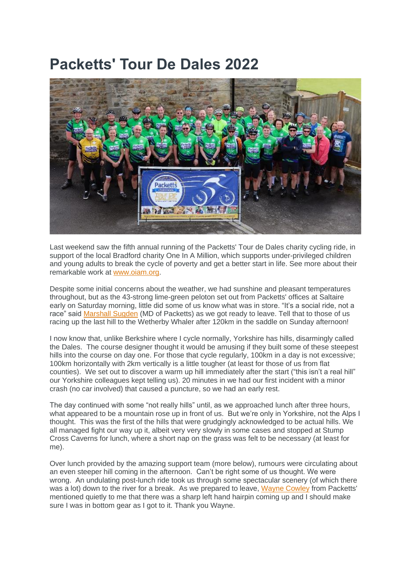## **Packetts' Tour De Dales 2022**



Last weekend saw the fifth annual running of the Packetts' Tour de Dales charity cycling ride, in support of the local Bradford charity One In A Million, which supports under-privileged children and young adults to break the cycle of poverty and get a better start in life. See more about their remarkable work at [www.oiam.org.](http://www.oiam.org/)

Despite some initial concerns about the weather, we had sunshine and pleasant temperatures throughout, but as the 43-strong lime-green peloton set out from Packetts' offices at Saltaire early on Saturday morning, little did some of us know what was in store. "It's a social ride, not a race" said [Marshall Sugden](https://www.jenstenhub.co.uk/contacts?uid=305) (MD of Packetts) as we got ready to leave. Tell that to those of us racing up the last hill to the Wetherby Whaler after 120km in the saddle on Sunday afternoon!

I now know that, unlike Berkshire where I cycle normally, Yorkshire has hills, disarmingly called the Dales. The course designer thought it would be amusing if they built some of these steepest hills into the course on day one. For those that cycle regularly, 100km in a day is not excessive; 100km horizontally with 2km vertically is a little tougher (at least for those of us from flat counties). We set out to discover a warm up hill immediately after the start ("this isn't a real hill" our Yorkshire colleagues kept telling us). 20 minutes in we had our first incident with a minor crash (no car involved) that caused a puncture, so we had an early rest.

The day continued with some "not really hills" until, as we approached lunch after three hours, what appeared to be a mountain rose up in front of us. But we're only in Yorkshire, not the Alps I thought. This was the first of the hills that were grudgingly acknowledged to be actual hills. We all managed fight our way up it, albeit very very slowly in some cases and stopped at Stump Cross Caverns for lunch, where a short nap on the grass was felt to be necessary (at least for me).

Over lunch provided by the amazing support team (more below), rumours were circulating about an even steeper hill coming in the afternoon. Can't be right some of us thought. We were wrong. An undulating post-lunch ride took us through some spectacular scenery (of which there was a lot) down to the river for a break. As we prepared to leave, [Wayne Cowley](https://www.jenstenhub.co.uk/contacts?uid=218) from Packetts' mentioned quietly to me that there was a sharp left hand hairpin coming up and I should make sure I was in bottom gear as I got to it. Thank you Wayne.